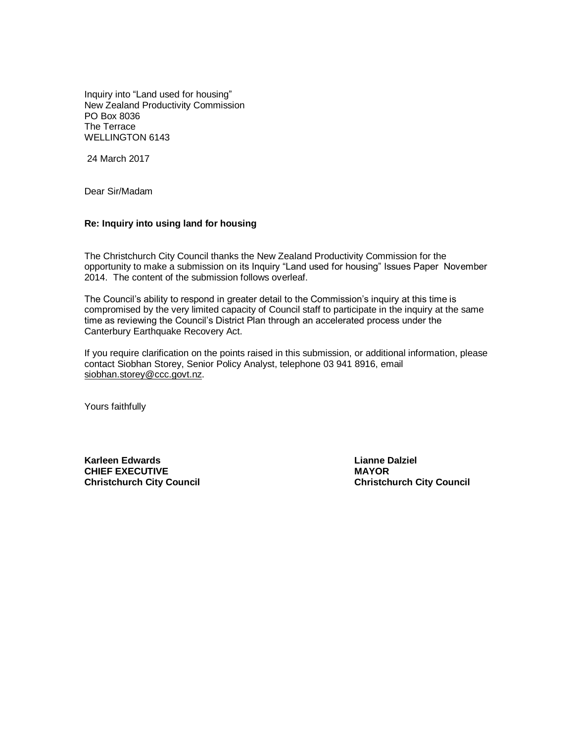Inquiry into "Land used for housing" New Zealand Productivity Commission PO Box 8036 The Terrace WELLINGTON 6143

24 March 2017

Dear Sir/Madam

### **Re: Inquiry into using land for housing**

The Christchurch City Council thanks the New Zealand Productivity Commission for the opportunity to make a submission on its Inquiry "Land used for housing" Issues Paper November 2014. The content of the submission follows overleaf.

The Council's ability to respond in greater detail to the Commission's inquiry at this time is compromised by the very limited capacity of Council staff to participate in the inquiry at the same time as reviewing the Council's District Plan through an accelerated process under the Canterbury Earthquake Recovery Act.

If you require clarification on the points raised in this submission, or additional information, please contact Siobhan Storey, Senior Policy Analyst, telephone 03 941 8916, email [siobhan.storey@ccc.govt.nz.](mailto:siobhan.storey@ccc.govt.nz)

Yours faithfully

**Karleen Edwards Lianne Dalziel CHIEF EXECUTIVE MAYOR Christchurch City Council Christchurch City Council**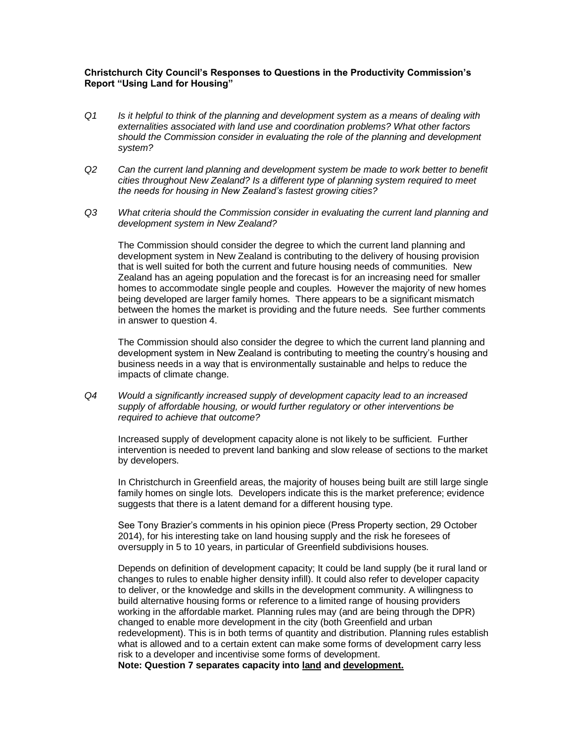# **Christchurch City Council's Responses to Questions in the Productivity Commission's Report "Using Land for Housing"**

- *Q1 Is it helpful to think of the planning and development system as a means of dealing with externalities associated with land use and coordination problems? What other factors should the Commission consider in evaluating the role of the planning and development system?*
- *Q2 Can the current land planning and development system be made to work better to benefit cities throughout New Zealand? Is a different type of planning system required to meet the needs for housing in New Zealand's fastest growing cities?*
- *Q3 What criteria should the Commission consider in evaluating the current land planning and development system in New Zealand?*

The Commission should consider the degree to which the current land planning and development system in New Zealand is contributing to the delivery of housing provision that is well suited for both the current and future housing needs of communities. New Zealand has an ageing population and the forecast is for an increasing need for smaller homes to accommodate single people and couples. However the majority of new homes being developed are larger family homes. There appears to be a significant mismatch between the homes the market is providing and the future needs. See further comments in answer to question 4.

The Commission should also consider the degree to which the current land planning and development system in New Zealand is contributing to meeting the country's housing and business needs in a way that is environmentally sustainable and helps to reduce the impacts of climate change.

*Q4 Would a significantly increased supply of development capacity lead to an increased supply of affordable housing, or would further regulatory or other interventions be required to achieve that outcome?*

Increased supply of development capacity alone is not likely to be sufficient. Further intervention is needed to prevent land banking and slow release of sections to the market by developers.

In Christchurch in Greenfield areas, the majority of houses being built are still large single family homes on single lots. Developers indicate this is the market preference; evidence suggests that there is a latent demand for a different housing type.

See Tony Brazier's comments in his opinion piece (Press Property section, 29 October 2014), for his interesting take on land housing supply and the risk he foresees of oversupply in 5 to 10 years, in particular of Greenfield subdivisions houses.

Depends on definition of development capacity; It could be land supply (be it rural land or changes to rules to enable higher density infill). It could also refer to developer capacity to deliver, or the knowledge and skills in the development community. A willingness to build alternative housing forms or reference to a limited range of housing providers working in the affordable market. Planning rules may (and are being through the DPR) changed to enable more development in the city (both Greenfield and urban redevelopment). This is in both terms of quantity and distribution. Planning rules establish what is allowed and to a certain extent can make some forms of development carry less risk to a developer and incentivise some forms of development.

**Note: Question 7 separates capacity into land and development.**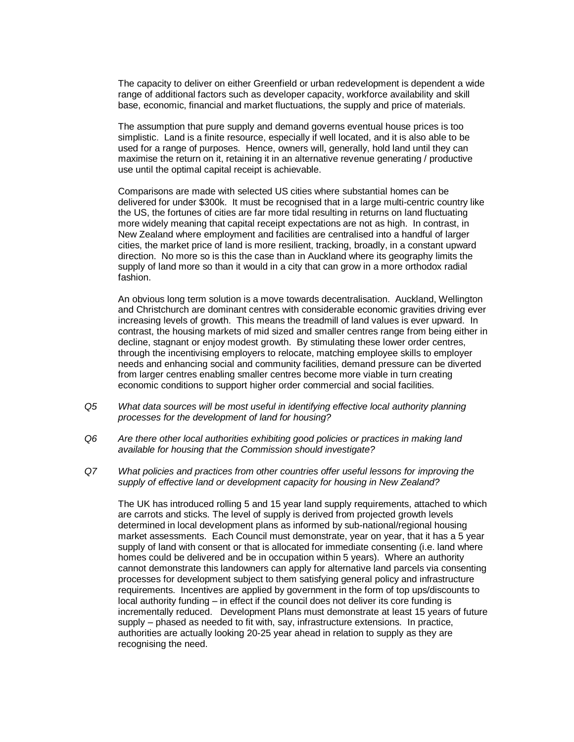The capacity to deliver on either Greenfield or urban redevelopment is dependent a wide range of additional factors such as developer capacity, workforce availability and skill base, economic, financial and market fluctuations, the supply and price of materials.

The assumption that pure supply and demand governs eventual house prices is too simplistic. Land is a finite resource, especially if well located, and it is also able to be used for a range of purposes. Hence, owners will, generally, hold land until they can maximise the return on it, retaining it in an alternative revenue generating / productive use until the optimal capital receipt is achievable.

Comparisons are made with selected US cities where substantial homes can be delivered for under \$300k. It must be recognised that in a large multi-centric country like the US, the fortunes of cities are far more tidal resulting in returns on land fluctuating more widely meaning that capital receipt expectations are not as high. In contrast, in New Zealand where employment and facilities are centralised into a handful of larger cities, the market price of land is more resilient, tracking, broadly, in a constant upward direction. No more so is this the case than in Auckland where its geography limits the supply of land more so than it would in a city that can grow in a more orthodox radial fashion.

An obvious long term solution is a move towards decentralisation. Auckland, Wellington and Christchurch are dominant centres with considerable economic gravities driving ever increasing levels of growth. This means the treadmill of land values is ever upward. In contrast, the housing markets of mid sized and smaller centres range from being either in decline, stagnant or enjoy modest growth. By stimulating these lower order centres, through the incentivising employers to relocate, matching employee skills to employer needs and enhancing social and community facilities, demand pressure can be diverted from larger centres enabling smaller centres become more viable in turn creating economic conditions to support higher order commercial and social facilities.

- *Q5 What data sources will be most useful in identifying effective local authority planning processes for the development of land for housing?*
- *Q6 Are there other local authorities exhibiting good policies or practices in making land available for housing that the Commission should investigate?*
- *Q7 What policies and practices from other countries offer useful lessons for improving the supply of effective land or development capacity for housing in New Zealand?*

The UK has introduced rolling 5 and 15 year land supply requirements, attached to which are carrots and sticks. The level of supply is derived from projected growth levels determined in local development plans as informed by sub-national/regional housing market assessments. Each Council must demonstrate, year on year, that it has a 5 year supply of land with consent or that is allocated for immediate consenting (i.e. land where homes could be delivered and be in occupation within 5 years). Where an authority cannot demonstrate this landowners can apply for alternative land parcels via consenting processes for development subject to them satisfying general policy and infrastructure requirements. Incentives are applied by government in the form of top ups/discounts to local authority funding – in effect if the council does not deliver its core funding is incrementally reduced. Development Plans must demonstrate at least 15 years of future supply – phased as needed to fit with, say, infrastructure extensions. In practice, authorities are actually looking 20-25 year ahead in relation to supply as they are recognising the need.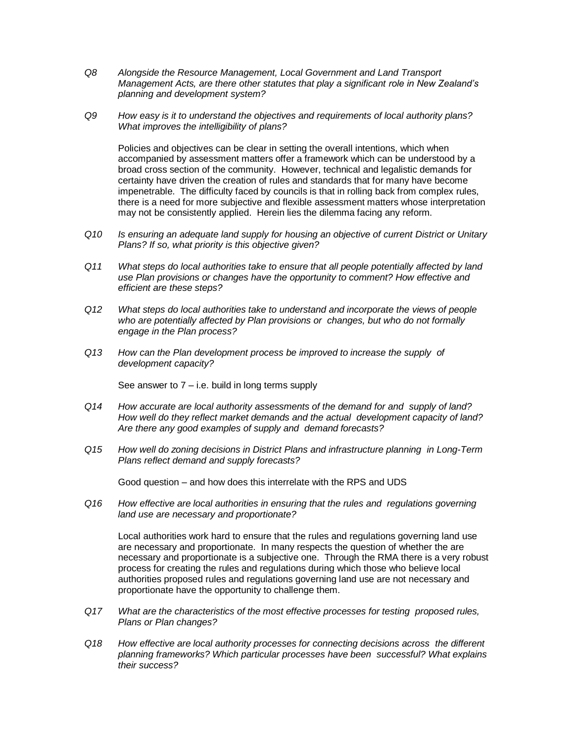- *Q8 Alongside the Resource Management, Local Government and Land Transport Management Acts, are there other statutes that play a significant role in New Zealand's planning and development system?*
- *Q9 How easy is it to understand the objectives and requirements of local authority plans? What improves the intelligibility of plans?*

Policies and objectives can be clear in setting the overall intentions, which when accompanied by assessment matters offer a framework which can be understood by a broad cross section of the community. However, technical and legalistic demands for certainty have driven the creation of rules and standards that for many have become impenetrable. The difficulty faced by councils is that in rolling back from complex rules, there is a need for more subjective and flexible assessment matters whose interpretation may not be consistently applied. Herein lies the dilemma facing any reform.

- *Q10 Is ensuring an adequate land supply for housing an objective of current District or Unitary Plans? If so, what priority is this objective given?*
- *Q11 What steps do local authorities take to ensure that all people potentially affected by land use Plan provisions or changes have the opportunity to comment? How effective and efficient are these steps?*
- *Q12 What steps do local authorities take to understand and incorporate the views of people who are potentially affected by Plan provisions or changes, but who do not formally engage in the Plan process?*
- *Q13 How can the Plan development process be improved to increase the supply of development capacity?*

See answer to  $7 - i.e.$  build in long terms supply

- *Q14 How accurate are local authority assessments of the demand for and supply of land? How well do they reflect market demands and the actual development capacity of land? Are there any good examples of supply and demand forecasts?*
- *Q15 How well do zoning decisions in District Plans and infrastructure planning in Long-Term Plans reflect demand and supply forecasts?*

Good question – and how does this interrelate with the RPS and UDS

*Q16 How effective are local authorities in ensuring that the rules and regulations governing land use are necessary and proportionate?*

Local authorities work hard to ensure that the rules and regulations governing land use are necessary and proportionate. In many respects the question of whether the are necessary and proportionate is a subjective one. Through the RMA there is a very robust process for creating the rules and regulations during which those who believe local authorities proposed rules and regulations governing land use are not necessary and proportionate have the opportunity to challenge them.

- *Q17 What are the characteristics of the most effective processes for testing proposed rules, Plans or Plan changes?*
- *Q18 How effective are local authority processes for connecting decisions across the different planning frameworks? Which particular processes have been successful? What explains their success?*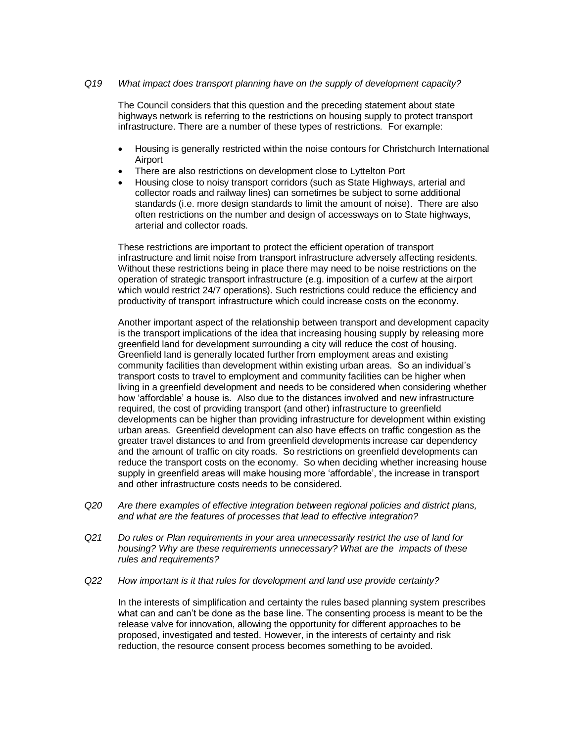# *Q19 What impact does transport planning have on the supply of development capacity?*

The Council considers that this question and the preceding statement about state highways network is referring to the restrictions on housing supply to protect transport infrastructure. There are a number of these types of restrictions. For example:

- Housing is generally restricted within the noise contours for Christchurch International Airport
- There are also restrictions on development close to Lyttelton Port
- Housing close to noisy transport corridors (such as State Highways, arterial and collector roads and railway lines) can sometimes be subject to some additional standards (i.e. more design standards to limit the amount of noise). There are also often restrictions on the number and design of accessways on to State highways, arterial and collector roads.

These restrictions are important to protect the efficient operation of transport infrastructure and limit noise from transport infrastructure adversely affecting residents. Without these restrictions being in place there may need to be noise restrictions on the operation of strategic transport infrastructure (e.g. imposition of a curfew at the airport which would restrict 24/7 operations). Such restrictions could reduce the efficiency and productivity of transport infrastructure which could increase costs on the economy.

Another important aspect of the relationship between transport and development capacity is the transport implications of the idea that increasing housing supply by releasing more greenfield land for development surrounding a city will reduce the cost of housing. Greenfield land is generally located further from employment areas and existing community facilities than development within existing urban areas. So an individual's transport costs to travel to employment and community facilities can be higher when living in a greenfield development and needs to be considered when considering whether how 'affordable' a house is. Also due to the distances involved and new infrastructure required, the cost of providing transport (and other) infrastructure to greenfield developments can be higher than providing infrastructure for development within existing urban areas. Greenfield development can also have effects on traffic congestion as the greater travel distances to and from greenfield developments increase car dependency and the amount of traffic on city roads. So restrictions on greenfield developments can reduce the transport costs on the economy. So when deciding whether increasing house supply in greenfield areas will make housing more 'affordable', the increase in transport and other infrastructure costs needs to be considered.

- *Q20 Are there examples of effective integration between regional policies and district plans, and what are the features of processes that lead to effective integration?*
- *Q21 Do rules or Plan requirements in your area unnecessarily restrict the use of land for housing? Why are these requirements unnecessary? What are the impacts of these rules and requirements?*
- *Q22 How important is it that rules for development and land use provide certainty?*

In the interests of simplification and certainty the rules based planning system prescribes what can and can't be done as the base line. The consenting process is meant to be the release valve for innovation, allowing the opportunity for different approaches to be proposed, investigated and tested. However, in the interests of certainty and risk reduction, the resource consent process becomes something to be avoided.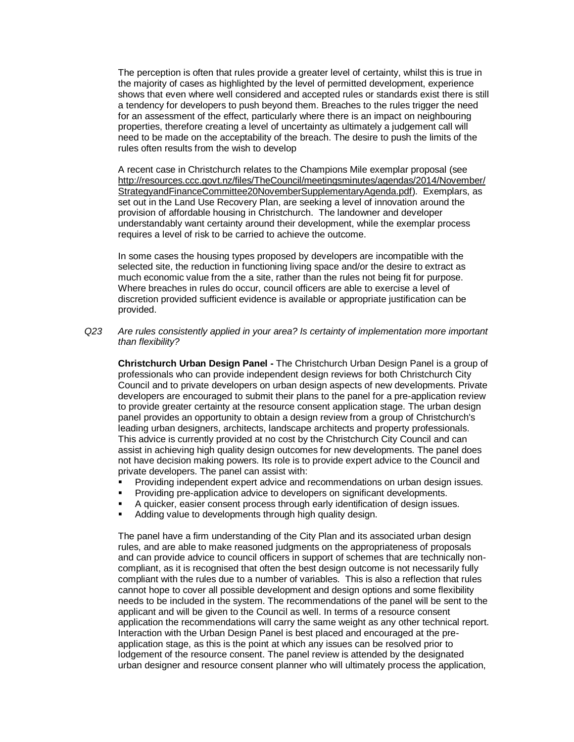The perception is often that rules provide a greater level of certainty, whilst this is true in the majority of cases as highlighted by the level of permitted development, experience shows that even where well considered and accepted rules or standards exist there is still a tendency for developers to push beyond them. Breaches to the rules trigger the need for an assessment of the effect, particularly where there is an impact on neighbouring properties, therefore creating a level of uncertainty as ultimately a judgement call will need to be made on the acceptability of the breach. The desire to push the limits of the rules often results from the wish to develop

A recent case in Christchurch relates to the Champions Mile exemplar proposal (see [http://resources.ccc.govt.nz/files/TheCouncil/meetingsminutes/agendas/2014/November/](http://resources.ccc.govt.nz/files/TheCouncil/meetingsminutes/agendas/2014/November/StrategyandFinanceCommittee20NovemberSupplementaryAgenda.pdf) [StrategyandFinanceCommittee20NovemberSupplementaryAgenda.pdf\)](http://resources.ccc.govt.nz/files/TheCouncil/meetingsminutes/agendas/2014/November/StrategyandFinanceCommittee20NovemberSupplementaryAgenda.pdf). Exemplars, as set out in the Land Use Recovery Plan, are seeking a level of innovation around the provision of affordable housing in Christchurch. The landowner and developer understandably want certainty around their development, while the exemplar process requires a level of risk to be carried to achieve the outcome.

In some cases the housing types proposed by developers are incompatible with the selected site, the reduction in functioning living space and/or the desire to extract as much economic value from the a site, rather than the rules not being fit for purpose. Where breaches in rules do occur, council officers are able to exercise a level of discretion provided sufficient evidence is available or appropriate justification can be provided.

*Q23 Are rules consistently applied in your area? Is certainty of implementation more important than flexibility?*

**Christchurch Urban Design Panel -** The Christchurch Urban Design Panel is a group of professionals who can provide independent design reviews for both Christchurch City Council and to private developers on urban design aspects of new developments. Private developers are encouraged to submit their plans to the panel for a pre-application review to provide greater certainty at the resource consent application stage. The urban design panel provides an opportunity to obtain a design review from a group of Christchurch's leading urban designers, architects, landscape architects and property professionals. This advice is currently provided at no cost by the Christchurch City Council and can assist in achieving high quality design outcomes for new developments. The panel does not have decision making powers. Its role is to provide expert advice to the Council and private developers. The panel can assist with:

- Providing independent expert advice and recommendations on urban design issues.
- Providing pre-application advice to developers on significant developments.
- A quicker, easier consent process through early identification of design issues.
- Adding value to developments through high quality design.

The panel have a firm understanding of the City Plan and its associated urban design rules, and are able to make reasoned judgments on the appropriateness of proposals and can provide advice to council officers in support of schemes that are technically noncompliant, as it is recognised that often the best design outcome is not necessarily fully compliant with the rules due to a number of variables. This is also a reflection that rules cannot hope to cover all possible development and design options and some flexibility needs to be included in the system. The recommendations of the panel will be sent to the applicant and will be given to the Council as well. In terms of a resource consent application the recommendations will carry the same weight as any other technical report. Interaction with the Urban Design Panel is best placed and encouraged at the preapplication stage, as this is the point at which any issues can be resolved prior to lodgement of the resource consent. The panel review is attended by the designated urban designer and resource consent planner who will ultimately process the application,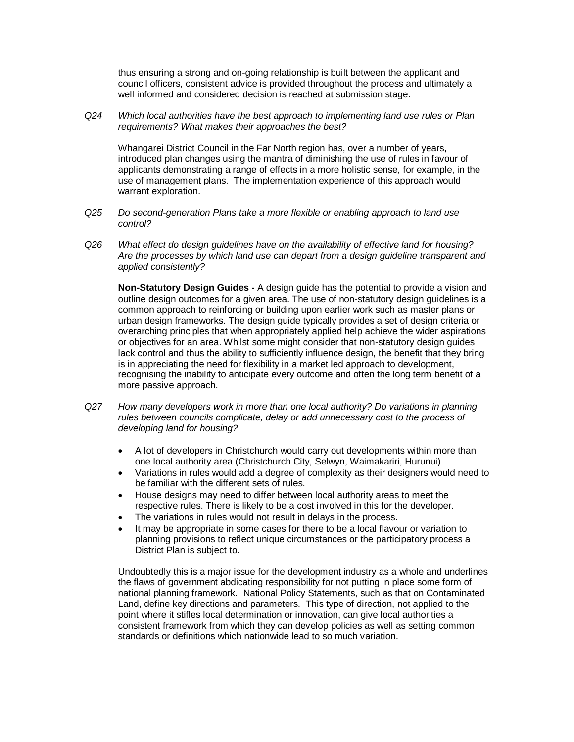thus ensuring a strong and on-going relationship is built between the applicant and council officers, consistent advice is provided throughout the process and ultimately a well informed and considered decision is reached at submission stage.

*Q24 Which local authorities have the best approach to implementing land use rules or Plan requirements? What makes their approaches the best?*

Whangarei District Council in the Far North region has, over a number of years, introduced plan changes using the mantra of diminishing the use of rules in favour of applicants demonstrating a range of effects in a more holistic sense, for example, in the use of management plans. The implementation experience of this approach would warrant exploration.

- *Q25 Do second-generation Plans take a more flexible or enabling approach to land use control?*
- *Q26 What effect do design guidelines have on the availability of effective land for housing? Are the processes by which land use can depart from a design guideline transparent and applied consistently?*

**Non-Statutory Design Guides -** A design guide has the potential to provide a vision and outline design outcomes for a given area. The use of non-statutory design guidelines is a common approach to reinforcing or building upon earlier work such as master plans or urban design frameworks. The design guide typically provides a set of design criteria or overarching principles that when appropriately applied help achieve the wider aspirations or objectives for an area. Whilst some might consider that non-statutory design guides lack control and thus the ability to sufficiently influence design, the benefit that they bring is in appreciating the need for flexibility in a market led approach to development, recognising the inability to anticipate every outcome and often the long term benefit of a more passive approach.

- *Q27 How many developers work in more than one local authority? Do variations in planning rules between councils complicate, delay or add unnecessary cost to the process of developing land for housing?*
	- A lot of developers in Christchurch would carry out developments within more than one local authority area (Christchurch City, Selwyn, Waimakariri, Hurunui)
	- Variations in rules would add a degree of complexity as their designers would need to be familiar with the different sets of rules.
	- House designs may need to differ between local authority areas to meet the respective rules. There is likely to be a cost involved in this for the developer.
	- The variations in rules would not result in delays in the process.
	- It may be appropriate in some cases for there to be a local flavour or variation to planning provisions to reflect unique circumstances or the participatory process a District Plan is subject to.

Undoubtedly this is a major issue for the development industry as a whole and underlines the flaws of government abdicating responsibility for not putting in place some form of national planning framework. National Policy Statements, such as that on Contaminated Land, define key directions and parameters. This type of direction, not applied to the point where it stifles local determination or innovation, can give local authorities a consistent framework from which they can develop policies as well as setting common standards or definitions which nationwide lead to so much variation.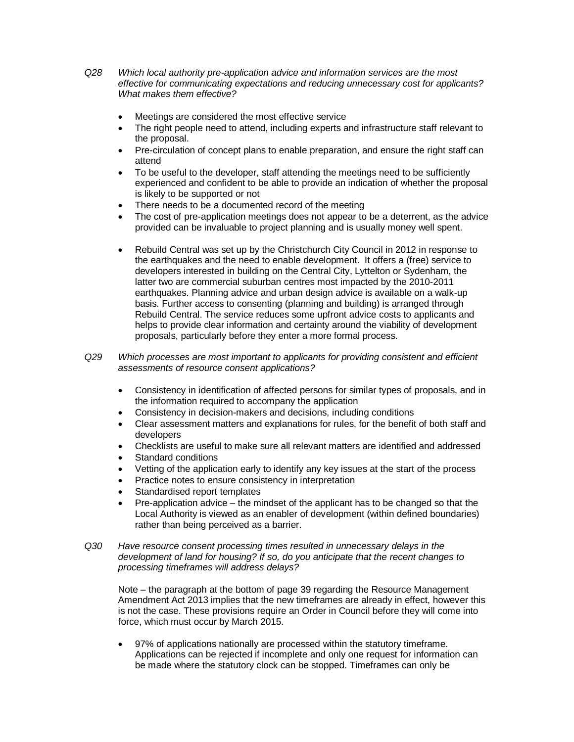*Q28 Which local authority pre-application advice and information services are the most effective for communicating expectations and reducing unnecessary cost for applicants? What makes them effective?*

- Meetings are considered the most effective service
- The right people need to attend, including experts and infrastructure staff relevant to the proposal.
- Pre-circulation of concept plans to enable preparation, and ensure the right staff can attend
- To be useful to the developer, staff attending the meetings need to be sufficiently experienced and confident to be able to provide an indication of whether the proposal is likely to be supported or not
- There needs to be a documented record of the meeting
- The cost of pre-application meetings does not appear to be a deterrent, as the advice provided can be invaluable to project planning and is usually money well spent.
- Rebuild Central was set up by the Christchurch City Council in 2012 in response to the earthquakes and the need to enable development. It offers a (free) service to developers interested in building on the Central City, Lyttelton or Sydenham, the latter two are commercial suburban centres most impacted by the 2010-2011 earthquakes. Planning advice and urban design advice is available on a walk-up basis. Further access to consenting (planning and building) is arranged through Rebuild Central. The service reduces some upfront advice costs to applicants and helps to provide clear information and certainty around the viability of development proposals, particularly before they enter a more formal process.

*Q29 Which processes are most important to applicants for providing consistent and efficient assessments of resource consent applications?*

- Consistency in identification of affected persons for similar types of proposals, and in the information required to accompany the application
- Consistency in decision-makers and decisions, including conditions
- Clear assessment matters and explanations for rules, for the benefit of both staff and developers
- Checklists are useful to make sure all relevant matters are identified and addressed
- Standard conditions
- Vetting of the application early to identify any key issues at the start of the process
- Practice notes to ensure consistency in interpretation
- Standardised report templates
- Pre-application advice the mindset of the applicant has to be changed so that the Local Authority is viewed as an enabler of development (within defined boundaries) rather than being perceived as a barrier.
- *Q30 Have resource consent processing times resulted in unnecessary delays in the development of land for housing? If so, do you anticipate that the recent changes to processing timeframes will address delays?*

Note – the paragraph at the bottom of page 39 regarding the Resource Management Amendment Act 2013 implies that the new timeframes are already in effect, however this is not the case. These provisions require an Order in Council before they will come into force, which must occur by March 2015.

 97% of applications nationally are processed within the statutory timeframe. Applications can be rejected if incomplete and only one request for information can be made where the statutory clock can be stopped. Timeframes can only be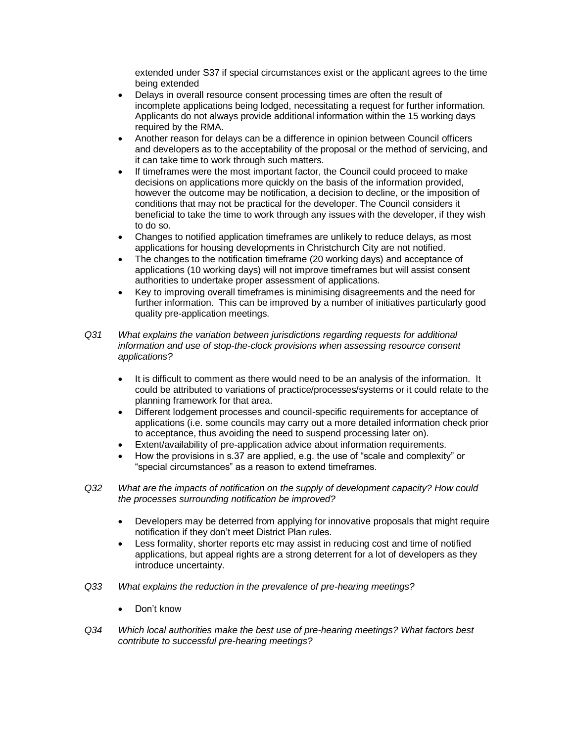extended under S37 if special circumstances exist or the applicant agrees to the time being extended

- Delays in overall resource consent processing times are often the result of incomplete applications being lodged, necessitating a request for further information. Applicants do not always provide additional information within the 15 working days required by the RMA.
- Another reason for delays can be a difference in opinion between Council officers and developers as to the acceptability of the proposal or the method of servicing, and it can take time to work through such matters.
- If timeframes were the most important factor, the Council could proceed to make decisions on applications more quickly on the basis of the information provided, however the outcome may be notification, a decision to decline, or the imposition of conditions that may not be practical for the developer. The Council considers it beneficial to take the time to work through any issues with the developer, if they wish to do so.
- Changes to notified application timeframes are unlikely to reduce delays, as most applications for housing developments in Christchurch City are not notified.
- The changes to the notification timeframe (20 working days) and acceptance of applications (10 working days) will not improve timeframes but will assist consent authorities to undertake proper assessment of applications.
- Key to improving overall timeframes is minimising disagreements and the need for further information. This can be improved by a number of initiatives particularly good quality pre-application meetings.
- *Q31 What explains the variation between jurisdictions regarding requests for additional information and use of stop-the-clock provisions when assessing resource consent applications?*
	- It is difficult to comment as there would need to be an analysis of the information. It could be attributed to variations of practice/processes/systems or it could relate to the planning framework for that area.
	- Different lodgement processes and council-specific requirements for acceptance of applications (i.e. some councils may carry out a more detailed information check prior to acceptance, thus avoiding the need to suspend processing later on).
	- Extent/availability of pre-application advice about information requirements.
	- How the provisions in s.37 are applied, e.g. the use of "scale and complexity" or "special circumstances" as a reason to extend timeframes.
- *Q32 What are the impacts of notification on the supply of development capacity? How could the processes surrounding notification be improved?*
	- Developers may be deterred from applying for innovative proposals that might require notification if they don't meet District Plan rules.
	- Less formality, shorter reports etc may assist in reducing cost and time of notified applications, but appeal rights are a strong deterrent for a lot of developers as they introduce uncertainty.
- *Q33 What explains the reduction in the prevalence of pre-hearing meetings?*
	- Don't know
- *Q34 Which local authorities make the best use of pre-hearing meetings? What factors best contribute to successful pre-hearing meetings?*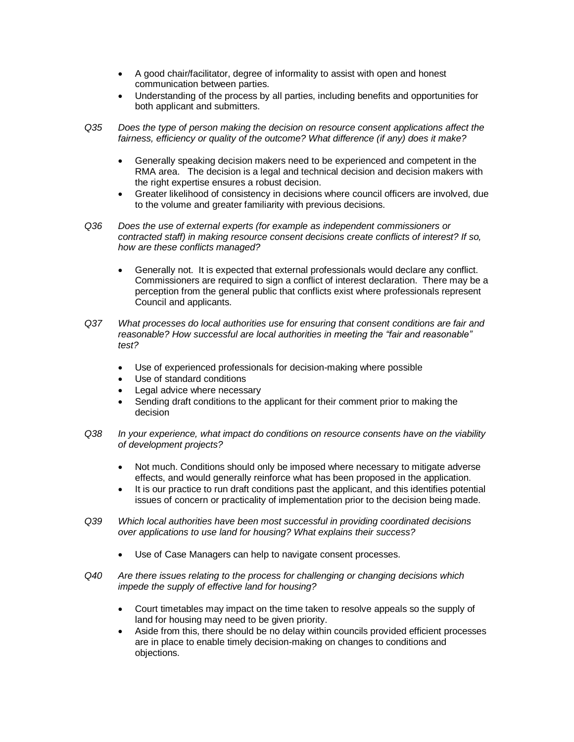- A good chair/facilitator, degree of informality to assist with open and honest communication between parties.
- Understanding of the process by all parties, including benefits and opportunities for both applicant and submitters.
- *Q35 Does the type of person making the decision on resource consent applications affect the fairness, efficiency or quality of the outcome? What difference (if any) does it make?*
	- Generally speaking decision makers need to be experienced and competent in the RMA area. The decision is a legal and technical decision and decision makers with the right expertise ensures a robust decision.
	- Greater likelihood of consistency in decisions where council officers are involved, due to the volume and greater familiarity with previous decisions.
- *Q36 Does the use of external experts (for example as independent commissioners or contracted staff) in making resource consent decisions create conflicts of interest? If so, how are these conflicts managed?*
	- Generally not. It is expected that external professionals would declare any conflict. Commissioners are required to sign a conflict of interest declaration. There may be a perception from the general public that conflicts exist where professionals represent Council and applicants.
- *Q37 What processes do local authorities use for ensuring that consent conditions are fair and reasonable? How successful are local authorities in meeting the "fair and reasonable" test?*
	- Use of experienced professionals for decision-making where possible
	- Use of standard conditions
	- Legal advice where necessary
	- Sending draft conditions to the applicant for their comment prior to making the decision
- *Q38 In your experience, what impact do conditions on resource consents have on the viability of development projects?*
	- Not much. Conditions should only be imposed where necessary to mitigate adverse effects, and would generally reinforce what has been proposed in the application.
	- It is our practice to run draft conditions past the applicant, and this identifies potential issues of concern or practicality of implementation prior to the decision being made.
- *Q39 Which local authorities have been most successful in providing coordinated decisions over applications to use land for housing? What explains their success?*
	- Use of Case Managers can help to navigate consent processes.
- *Q40 Are there issues relating to the process for challenging or changing decisions which impede the supply of effective land for housing?*
	- Court timetables may impact on the time taken to resolve appeals so the supply of land for housing may need to be given priority.
	- Aside from this, there should be no delay within councils provided efficient processes are in place to enable timely decision-making on changes to conditions and objections.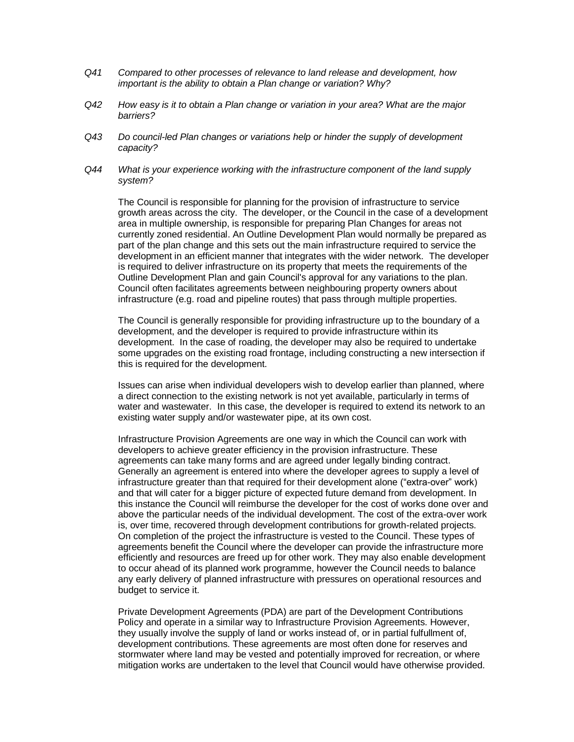- *Q41 Compared to other processes of relevance to land release and development, how important is the ability to obtain a Plan change or variation? Why?*
- *Q42 How easy is it to obtain a Plan change or variation in your area? What are the major barriers?*
- *Q43 Do council-led Plan changes or variations help or hinder the supply of development capacity?*
- *Q44 What is your experience working with the infrastructure component of the land supply system?*

The Council is responsible for planning for the provision of infrastructure to service growth areas across the city. The developer, or the Council in the case of a development area in multiple ownership, is responsible for preparing Plan Changes for areas not currently zoned residential. An Outline Development Plan would normally be prepared as part of the plan change and this sets out the main infrastructure required to service the development in an efficient manner that integrates with the wider network. The developer is required to deliver infrastructure on its property that meets the requirements of the Outline Development Plan and gain Council's approval for any variations to the plan. Council often facilitates agreements between neighbouring property owners about infrastructure (e.g. road and pipeline routes) that pass through multiple properties.

The Council is generally responsible for providing infrastructure up to the boundary of a development, and the developer is required to provide infrastructure within its development. In the case of roading, the developer may also be required to undertake some upgrades on the existing road frontage, including constructing a new intersection if this is required for the development.

Issues can arise when individual developers wish to develop earlier than planned, where a direct connection to the existing network is not yet available, particularly in terms of water and wastewater. In this case, the developer is required to extend its network to an existing water supply and/or wastewater pipe, at its own cost.

Infrastructure Provision Agreements are one way in which the Council can work with developers to achieve greater efficiency in the provision infrastructure. These agreements can take many forms and are agreed under legally binding contract. Generally an agreement is entered into where the developer agrees to supply a level of infrastructure greater than that required for their development alone ("extra-over" work) and that will cater for a bigger picture of expected future demand from development. In this instance the Council will reimburse the developer for the cost of works done over and above the particular needs of the individual development. The cost of the extra-over work is, over time, recovered through development contributions for growth-related projects. On completion of the project the infrastructure is vested to the Council. These types of agreements benefit the Council where the developer can provide the infrastructure more efficiently and resources are freed up for other work. They may also enable development to occur ahead of its planned work programme, however the Council needs to balance any early delivery of planned infrastructure with pressures on operational resources and budget to service it.

Private Development Agreements (PDA) are part of the Development Contributions Policy and operate in a similar way to Infrastructure Provision Agreements. However, they usually involve the supply of land or works instead of, or in partial fulfullment of, development contributions. These agreements are most often done for reserves and stormwater where land may be vested and potentially improved for recreation, or where mitigation works are undertaken to the level that Council would have otherwise provided.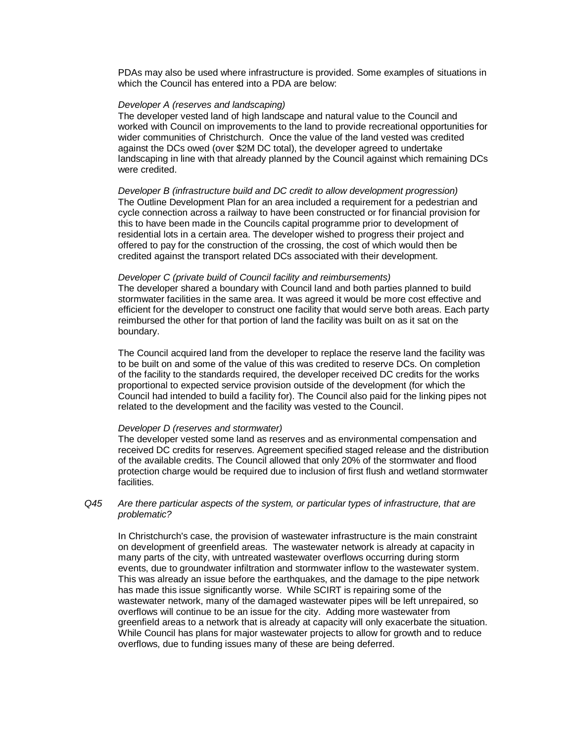PDAs may also be used where infrastructure is provided. Some examples of situations in which the Council has entered into a PDA are below:

### *Developer A (reserves and landscaping)*

The developer vested land of high landscape and natural value to the Council and worked with Council on improvements to the land to provide recreational opportunities for wider communities of Christchurch. Once the value of the land vested was credited against the DCs owed (over \$2M DC total), the developer agreed to undertake landscaping in line with that already planned by the Council against which remaining DCs were credited.

*Developer B (infrastructure build and DC credit to allow development progression)* The Outline Development Plan for an area included a requirement for a pedestrian and cycle connection across a railway to have been constructed or for financial provision for this to have been made in the Councils capital programme prior to development of residential lots in a certain area. The developer wished to progress their project and offered to pay for the construction of the crossing, the cost of which would then be credited against the transport related DCs associated with their development.

#### *Developer C (private build of Council facility and reimbursements)*

The developer shared a boundary with Council land and both parties planned to build stormwater facilities in the same area. It was agreed it would be more cost effective and efficient for the developer to construct one facility that would serve both areas. Each party reimbursed the other for that portion of land the facility was built on as it sat on the boundary.

The Council acquired land from the developer to replace the reserve land the facility was to be built on and some of the value of this was credited to reserve DCs. On completion of the facility to the standards required, the developer received DC credits for the works proportional to expected service provision outside of the development (for which the Council had intended to build a facility for). The Council also paid for the linking pipes not related to the development and the facility was vested to the Council.

#### *Developer D (reserves and stormwater)*

The developer vested some land as reserves and as environmental compensation and received DC credits for reserves. Agreement specified staged release and the distribution of the available credits. The Council allowed that only 20% of the stormwater and flood protection charge would be required due to inclusion of first flush and wetland stormwater facilities.

### *Q45 Are there particular aspects of the system, or particular types of infrastructure, that are problematic?*

In Christchurch's case, the provision of wastewater infrastructure is the main constraint on development of greenfield areas. The wastewater network is already at capacity in many parts of the city, with untreated wastewater overflows occurring during storm events, due to groundwater infiltration and stormwater inflow to the wastewater system. This was already an issue before the earthquakes, and the damage to the pipe network has made this issue significantly worse. While SCIRT is repairing some of the wastewater network, many of the damaged wastewater pipes will be left unrepaired, so overflows will continue to be an issue for the city. Adding more wastewater from greenfield areas to a network that is already at capacity will only exacerbate the situation. While Council has plans for major wastewater projects to allow for growth and to reduce overflows, due to funding issues many of these are being deferred.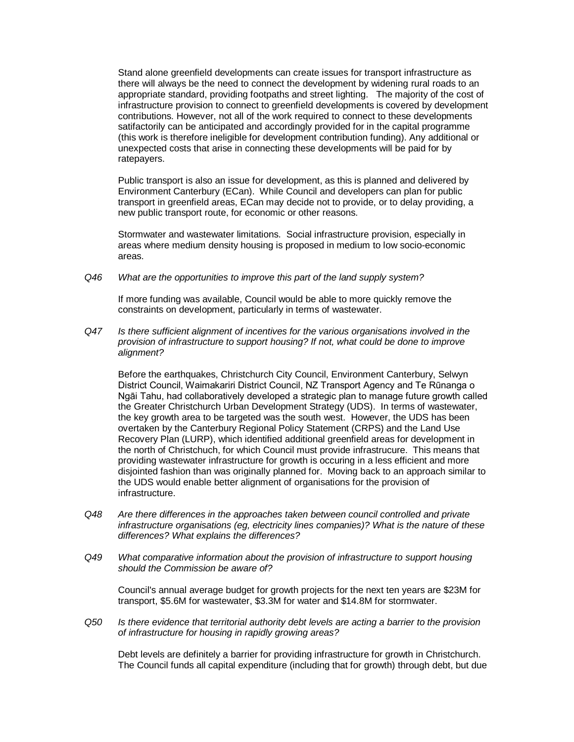Stand alone greenfield developments can create issues for transport infrastructure as there will always be the need to connect the development by widening rural roads to an appropriate standard, providing footpaths and street lighting. The majority of the cost of infrastructure provision to connect to greenfield developments is covered by development contributions. However, not all of the work required to connect to these developments satifactorily can be anticipated and accordingly provided for in the capital programme (this work is therefore ineligible for development contribution funding). Any additional or unexpected costs that arise in connecting these developments will be paid for by ratepayers.

Public transport is also an issue for development, as this is planned and delivered by Environment Canterbury (ECan). While Council and developers can plan for public transport in greenfield areas, ECan may decide not to provide, or to delay providing, a new public transport route, for economic or other reasons.

Stormwater and wastewater limitations. Social infrastructure provision, especially in areas where medium density housing is proposed in medium to low socio-economic areas.

*Q46 What are the opportunities to improve this part of the land supply system?*

If more funding was available, Council would be able to more quickly remove the constraints on development, particularly in terms of wastewater.

*Q47 Is there sufficient alignment of incentives for the various organisations involved in the provision of infrastructure to support housing? If not, what could be done to improve alignment?*

Before the earthquakes, Christchurch City Council, Environment Canterbury, Selwyn District Council, Waimakariri District Council, NZ Transport Agency and Te Rūnanga o Ngāi Tahu, had collaboratively developed a strategic plan to manage future growth called the Greater Christchurch Urban Development Strategy (UDS). In terms of wastewater, the key growth area to be targeted was the south west. However, the UDS has been overtaken by the Canterbury Regional Policy Statement (CRPS) and the Land Use Recovery Plan (LURP), which identified additional greenfield areas for development in the north of Christchuch, for which Council must provide infrastrucure. This means that providing wastewater infrastructure for growth is occuring in a less efficient and more disjointed fashion than was originally planned for. Moving back to an approach similar to the UDS would enable better alignment of organisations for the provision of infrastructure.

- *Q48 Are there differences in the approaches taken between council controlled and private infrastructure organisations (eg, electricity lines companies)? What is the nature of these differences? What explains the differences?*
- *Q49 What comparative information about the provision of infrastructure to support housing should the Commission be aware of?*

Council's annual average budget for growth projects for the next ten years are \$23M for transport, \$5.6M for wastewater, \$3.3M for water and \$14.8M for stormwater.

*Q50 Is there evidence that territorial authority debt levels are acting a barrier to the provision of infrastructure for housing in rapidly growing areas?*

Debt levels are definitely a barrier for providing infrastructure for growth in Christchurch. The Council funds all capital expenditure (including that for growth) through debt, but due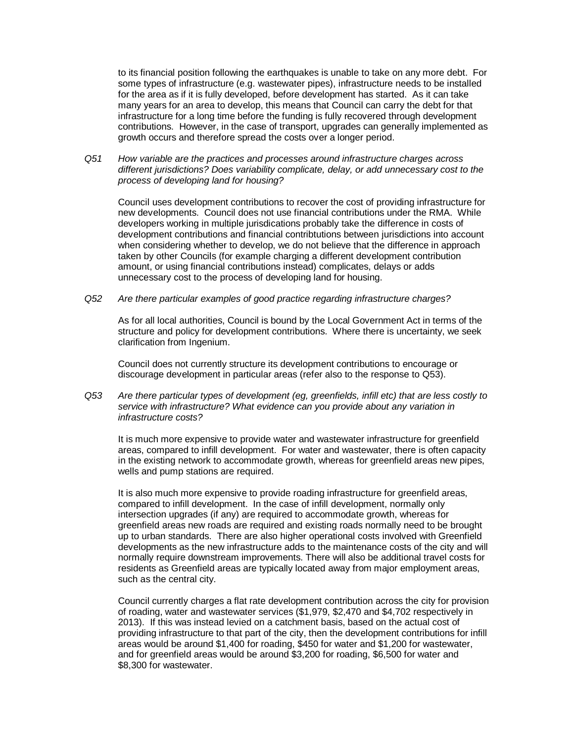to its financial position following the earthquakes is unable to take on any more debt. For some types of infrastructure (e.g. wastewater pipes), infrastructure needs to be installed for the area as if it is fully developed, before development has started. As it can take many years for an area to develop, this means that Council can carry the debt for that infrastructure for a long time before the funding is fully recovered through development contributions. However, in the case of transport, upgrades can generally implemented as growth occurs and therefore spread the costs over a longer period.

*Q51 How variable are the practices and processes around infrastructure charges across different jurisdictions? Does variability complicate, delay, or add unnecessary cost to the process of developing land for housing?*

Council uses development contributions to recover the cost of providing infrastructure for new developments. Council does not use financial contributions under the RMA. While developers working in multiple jurisdications probably take the difference in costs of development contributions and financial contribtutions between jurisdictions into account when considering whether to develop, we do not believe that the difference in approach taken by other Councils (for example charging a different development contribution amount, or using financial contributions instead) complicates, delays or adds unnecessary cost to the process of developing land for housing.

*Q52 Are there particular examples of good practice regarding infrastructure charges?*

As for all local authorities, Council is bound by the Local Government Act in terms of the structure and policy for development contributions. Where there is uncertainty, we seek clarification from Ingenium.

Council does not currently structure its development contributions to encourage or discourage development in particular areas (refer also to the response to Q53).

*Q53 Are there particular types of development (eg, greenfields, infill etc) that are less costly to service with infrastructure? What evidence can you provide about any variation in infrastructure costs?*

It is much more expensive to provide water and wastewater infrastructure for greenfield areas, compared to infill development. For water and wastewater, there is often capacity in the existing network to accommodate growth, whereas for greenfield areas new pipes, wells and pump stations are required.

It is also much more expensive to provide roading infrastructure for greenfield areas, compared to infill development. In the case of infill development, normally only intersection upgrades (if any) are required to accommodate growth, whereas for greenfield areas new roads are required and existing roads normally need to be brought up to urban standards. There are also higher operational costs involved with Greenfield developments as the new infrastructure adds to the maintenance costs of the city and will normally require downstream improvements. There will also be additional travel costs for residents as Greenfield areas are typically located away from major employment areas, such as the central city.

Council currently charges a flat rate development contribution across the city for provision of roading, water and wastewater services (\$1,979, \$2,470 and \$4,702 respectively in 2013). If this was instead levied on a catchment basis, based on the actual cost of providing infrastructure to that part of the city, then the development contributions for infill areas would be around \$1,400 for roading, \$450 for water and \$1,200 for wastewater, and for greenfield areas would be around \$3,200 for roading, \$6,500 for water and \$8,300 for wastewater.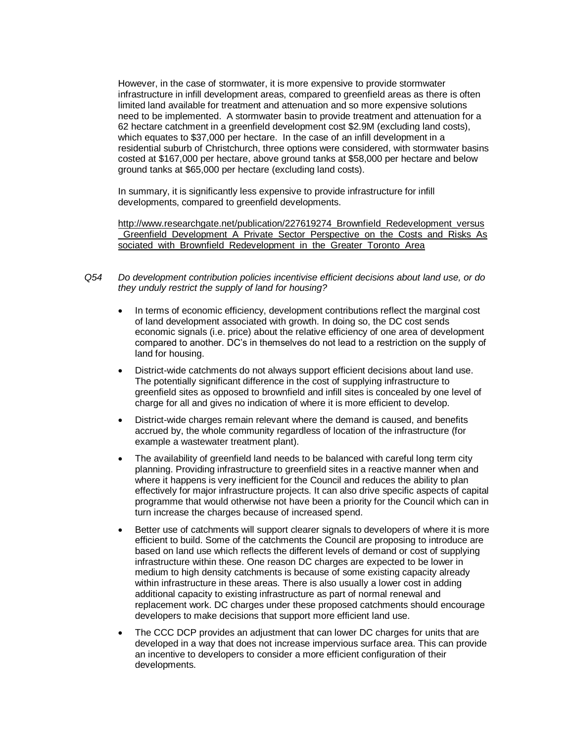However, in the case of stormwater, it is more expensive to provide stormwater infrastructure in infill development areas, compared to greenfield areas as there is often limited land available for treatment and attenuation and so more expensive solutions need to be implemented. A stormwater basin to provide treatment and attenuation for a 62 hectare catchment in a greenfield development cost \$2.9M (excluding land costs), which equates to \$37,000 per hectare. In the case of an infill development in a residential suburb of Christchurch, three options were considered, with stormwater basins costed at \$167,000 per hectare, above ground tanks at \$58,000 per hectare and below ground tanks at \$65,000 per hectare (excluding land costs).

In summary, it is significantly less expensive to provide infrastructure for infill developments, compared to greenfield developments.

[http://www.researchgate.net/publication/227619274\\_Brownfield\\_Redevelopment\\_versus](http://www.researchgate.net/publication/227619274_Brownfield_Redevelopment_versus_Greenfield_Development_A_Private_Sector_Perspective_on_the_Costs_and_Risks_Associated_with_Brownfield_Redevelopment_in_the_Greater_Toronto_Area) [\\_Greenfield\\_Development\\_A\\_Private\\_Sector\\_Perspective\\_on\\_the\\_Costs\\_and\\_Risks\\_As](http://www.researchgate.net/publication/227619274_Brownfield_Redevelopment_versus_Greenfield_Development_A_Private_Sector_Perspective_on_the_Costs_and_Risks_Associated_with_Brownfield_Redevelopment_in_the_Greater_Toronto_Area) sociated with Brownfield Redevelopment in the Greater Toronto Area

- *Q54 Do development contribution policies incentivise efficient decisions about land use, or do they unduly restrict the supply of land for housing?*
	- In terms of economic efficiency, development contributions reflect the marginal cost of land development associated with growth. In doing so, the DC cost sends economic signals (i.e. price) about the relative efficiency of one area of development compared to another. DC's in themselves do not lead to a restriction on the supply of land for housing.
	- District-wide catchments do not always support efficient decisions about land use. The potentially significant difference in the cost of supplying infrastructure to greenfield sites as opposed to brownfield and infill sites is concealed by one level of charge for all and gives no indication of where it is more efficient to develop.
	- District-wide charges remain relevant where the demand is caused, and benefits accrued by, the whole community regardless of location of the infrastructure (for example a wastewater treatment plant).
	- The availability of greenfield land needs to be balanced with careful long term city planning. Providing infrastructure to greenfield sites in a reactive manner when and where it happens is very inefficient for the Council and reduces the ability to plan effectively for major infrastructure projects. It can also drive specific aspects of capital programme that would otherwise not have been a priority for the Council which can in turn increase the charges because of increased spend.
	- Better use of catchments will support clearer signals to developers of where it is more efficient to build. Some of the catchments the Council are proposing to introduce are based on land use which reflects the different levels of demand or cost of supplying infrastructure within these. One reason DC charges are expected to be lower in medium to high density catchments is because of some existing capacity already within infrastructure in these areas. There is also usually a lower cost in adding additional capacity to existing infrastructure as part of normal renewal and replacement work. DC charges under these proposed catchments should encourage developers to make decisions that support more efficient land use.
	- The CCC DCP provides an adjustment that can lower DC charges for units that are developed in a way that does not increase impervious surface area. This can provide an incentive to developers to consider a more efficient configuration of their developments.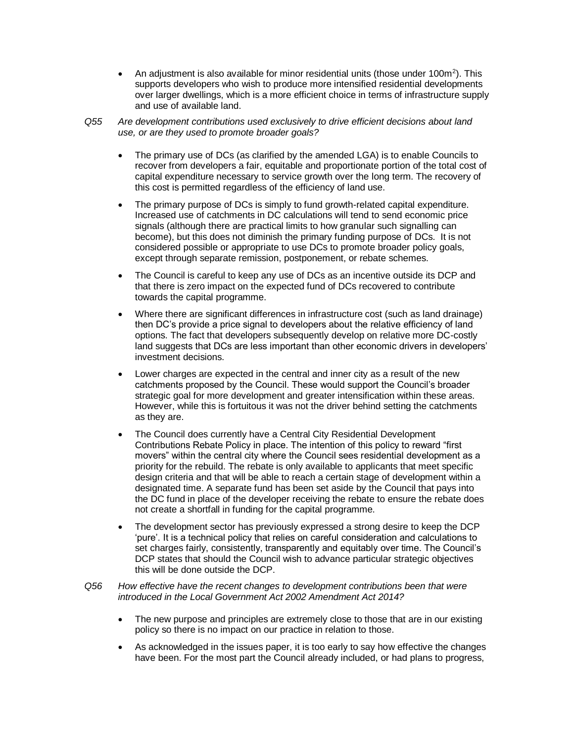- An adjustment is also available for minor residential units (those under  $100m^2$ ). This supports developers who wish to produce more intensified residential developments over larger dwellings, which is a more efficient choice in terms of infrastructure supply and use of available land.
- *Q55 Are development contributions used exclusively to drive efficient decisions about land use, or are they used to promote broader goals?*
	- The primary use of DCs (as clarified by the amended LGA) is to enable Councils to recover from developers a fair, equitable and proportionate portion of the total cost of capital expenditure necessary to service growth over the long term. The recovery of this cost is permitted regardless of the efficiency of land use.
	- The primary purpose of DCs is simply to fund growth-related capital expenditure. Increased use of catchments in DC calculations will tend to send economic price signals (although there are practical limits to how granular such signalling can become), but this does not diminish the primary funding purpose of DCs. It is not considered possible or appropriate to use DCs to promote broader policy goals, except through separate remission, postponement, or rebate schemes.
	- The Council is careful to keep any use of DCs as an incentive outside its DCP and that there is zero impact on the expected fund of DCs recovered to contribute towards the capital programme.
	- Where there are significant differences in infrastructure cost (such as land drainage) then DC's provide a price signal to developers about the relative efficiency of land options. The fact that developers subsequently develop on relative more DC-costly land suggests that DCs are less important than other economic drivers in developers' investment decisions.
	- Lower charges are expected in the central and inner city as a result of the new catchments proposed by the Council. These would support the Council's broader strategic goal for more development and greater intensification within these areas. However, while this is fortuitous it was not the driver behind setting the catchments as they are.
	- The Council does currently have a Central City Residential Development Contributions Rebate Policy in place. The intention of this policy to reward "first movers" within the central city where the Council sees residential development as a priority for the rebuild. The rebate is only available to applicants that meet specific design criteria and that will be able to reach a certain stage of development within a designated time. A separate fund has been set aside by the Council that pays into the DC fund in place of the developer receiving the rebate to ensure the rebate does not create a shortfall in funding for the capital programme.
	- The development sector has previously expressed a strong desire to keep the DCP 'pure'. It is a technical policy that relies on careful consideration and calculations to set charges fairly, consistently, transparently and equitably over time. The Council's DCP states that should the Council wish to advance particular strategic objectives this will be done outside the DCP.
- *Q56 How effective have the recent changes to development contributions been that were introduced in the Local Government Act 2002 Amendment Act 2014?*
	- The new purpose and principles are extremely close to those that are in our existing policy so there is no impact on our practice in relation to those.
	- As acknowledged in the issues paper, it is too early to say how effective the changes have been. For the most part the Council already included, or had plans to progress,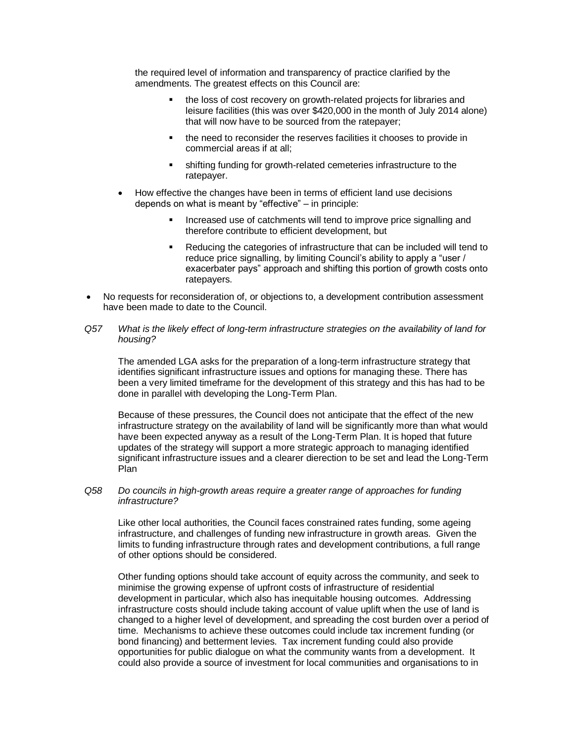the required level of information and transparency of practice clarified by the amendments. The greatest effects on this Council are:

- the loss of cost recovery on growth-related projects for libraries and leisure facilities (this was over \$420,000 in the month of July 2014 alone) that will now have to be sourced from the ratepayer;
- the need to reconsider the reserves facilities it chooses to provide in commercial areas if at all;
- shifting funding for growth-related cemeteries infrastructure to the ratepayer.
- How effective the changes have been in terms of efficient land use decisions depends on what is meant by "effective" – in principle:
	- Increased use of catchments will tend to improve price signalling and therefore contribute to efficient development, but
	- Reducing the categories of infrastructure that can be included will tend to reduce price signalling, by limiting Council's ability to apply a "user / exacerbater pays" approach and shifting this portion of growth costs onto ratepayers.
- No requests for reconsideration of, or objections to, a development contribution assessment have been made to date to the Council.
- *Q57 What is the likely effect of long-term infrastructure strategies on the availability of land for housing?*

The amended LGA asks for the preparation of a long-term infrastructure strategy that identifies significant infrastructure issues and options for managing these. There has been a very limited timeframe for the development of this strategy and this has had to be done in parallel with developing the Long-Term Plan.

Because of these pressures, the Council does not anticipate that the effect of the new infrastructure strategy on the availability of land will be significantly more than what would have been expected anyway as a result of the Long-Term Plan. It is hoped that future updates of the strategy will support a more strategic approach to managing identified significant infrastructure issues and a clearer dierection to be set and lead the Long-Term Plan

*Q58 Do councils in high-growth areas require a greater range of approaches for funding infrastructure?*

Like other local authorities, the Council faces constrained rates funding, some ageing infrastructure, and challenges of funding new infrastructure in growth areas. Given the limits to funding infrastructure through rates and development contributions, a full range of other options should be considered.

Other funding options should take account of equity across the community, and seek to minimise the growing expense of upfront costs of infrastructure of residential development in particular, which also has inequitable housing outcomes. Addressing infrastructure costs should include taking account of value uplift when the use of land is changed to a higher level of development, and spreading the cost burden over a period of time. Mechanisms to achieve these outcomes could include tax increment funding (or bond financing) and betterment levies. Tax increment funding could also provide opportunities for public dialogue on what the community wants from a development. It could also provide a source of investment for local communities and organisations to in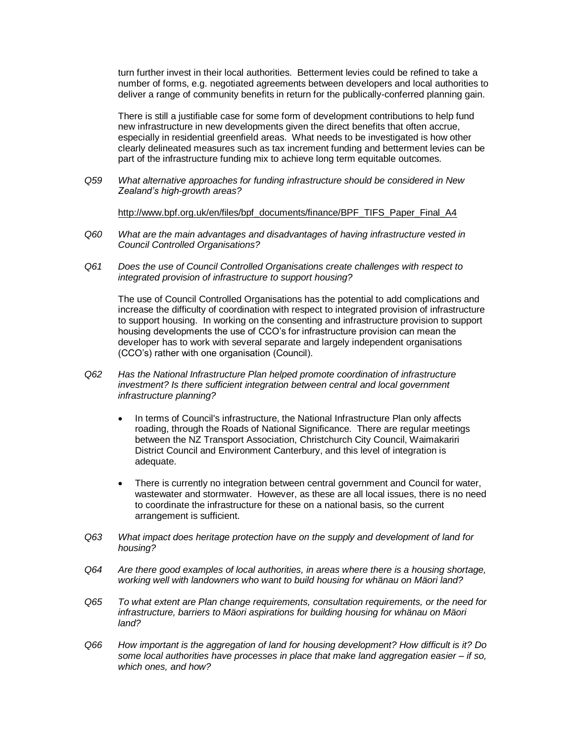turn further invest in their local authorities. Betterment levies could be refined to take a number of forms, e.g. negotiated agreements between developers and local authorities to deliver a range of community benefits in return for the publically-conferred planning gain.

There is still a justifiable case for some form of development contributions to help fund new infrastructure in new developments given the direct benefits that often accrue, especially in residential greenfield areas. What needs to be investigated is how other clearly delineated measures such as tax increment funding and betterment levies can be part of the infrastructure funding mix to achieve long term equitable outcomes.

*Q59 What alternative approaches for funding infrastructure should be considered in New Zealand's high-growth areas?*

[http://www.bpf.org.uk/en/files/bpf\\_documents/finance/BPF\\_TIFS\\_Paper\\_Final\\_A4](http://www.bpf.org.uk/en/files/bpf_documents/finance/BPF_TIFS_Paper_Final_A4)

- *Q60 What are the main advantages and disadvantages of having infrastructure vested in Council Controlled Organisations?*
- *Q61 Does the use of Council Controlled Organisations create challenges with respect to integrated provision of infrastructure to support housing?*

The use of Council Controlled Organisations has the potential to add complications and increase the difficulty of coordination with respect to integrated provision of infrastructure to support housing. In working on the consenting and infrastructure provision to support housing developments the use of CCO's for infrastructure provision can mean the developer has to work with several separate and largely independent organisations (CCO's) rather with one organisation (Council).

- *Q62 Has the National Infrastructure Plan helped promote coordination of infrastructure investment? Is there sufficient integration between central and local government infrastructure planning?*
	- In terms of Council's infrastructure, the National Infrastructure Plan only affects roading, through the Roads of National Significance. There are regular meetings between the NZ Transport Association, Christchurch City Council, Waimakariri District Council and Environment Canterbury, and this level of integration is adequate.
	- There is currently no integration between central government and Council for water, wastewater and stormwater. However, as these are all local issues, there is no need to coordinate the infrastructure for these on a national basis, so the current arrangement is sufficient.
- *Q63 What impact does heritage protection have on the supply and development of land for housing?*
- *Q64 Are there good examples of local authorities, in areas where there is a housing shortage, working well with landowners who want to build housing for whänau on Mäori land?*
- *Q65 To what extent are Plan change requirements, consultation requirements, or the need for infrastructure, barriers to Mäori aspirations for building housing for whänau on Mäori land?*
- *Q66 How important is the aggregation of land for housing development? How difficult is it? Do some local authorities have processes in place that make land aggregation easier – if so, which ones, and how?*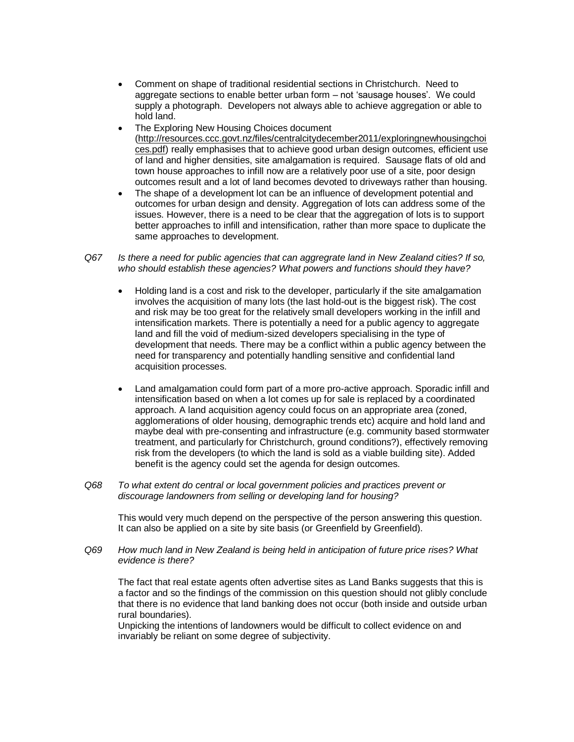- Comment on shape of traditional residential sections in Christchurch. Need to aggregate sections to enable better urban form – not 'sausage houses'. We could supply a photograph. Developers not always able to achieve aggregation or able to hold land.
- The Exploring New Housing Choices document [\(http://resources.ccc.govt.nz/files/centralcitydecember2011/exploringnewhousingchoi](http://resources.ccc.govt.nz/files/centralcitydecember2011/exploringnewhousingchoices.pdf) [ces.pdf\)](http://resources.ccc.govt.nz/files/centralcitydecember2011/exploringnewhousingchoices.pdf) really emphasises that to achieve good urban design outcomes, efficient use of land and higher densities, site amalgamation is required. Sausage flats of old and town house approaches to infill now are a relatively poor use of a site, poor design outcomes result and a lot of land becomes devoted to driveways rather than housing.
- The shape of a development lot can be an influence of development potential and outcomes for urban design and density. Aggregation of lots can address some of the issues. However, there is a need to be clear that the aggregation of lots is to support better approaches to infill and intensification, rather than more space to duplicate the same approaches to development.

# *Q67 Is there a need for public agencies that can aggregrate land in New Zealand cities? If so, who should establish these agencies? What powers and functions should they have?*

- Holding land is a cost and risk to the developer, particularly if the site amalgamation involves the acquisition of many lots (the last hold-out is the biggest risk). The cost and risk may be too great for the relatively small developers working in the infill and intensification markets. There is potentially a need for a public agency to aggregate land and fill the void of medium-sized developers specialising in the type of development that needs. There may be a conflict within a public agency between the need for transparency and potentially handling sensitive and confidential land acquisition processes.
- Land amalgamation could form part of a more pro-active approach. Sporadic infill and intensification based on when a lot comes up for sale is replaced by a coordinated approach. A land acquisition agency could focus on an appropriate area (zoned, agglomerations of older housing, demographic trends etc) acquire and hold land and maybe deal with pre-consenting and infrastructure (e.g. community based stormwater treatment, and particularly for Christchurch, ground conditions?), effectively removing risk from the developers (to which the land is sold as a viable building site). Added benefit is the agency could set the agenda for design outcomes.
- *Q68 To what extent do central or local government policies and practices prevent or discourage landowners from selling or developing land for housing?*

This would very much depend on the perspective of the person answering this question. It can also be applied on a site by site basis (or Greenfield by Greenfield).

*Q69 How much land in New Zealand is being held in anticipation of future price rises? What evidence is there?*

The fact that real estate agents often advertise sites as Land Banks suggests that this is a factor and so the findings of the commission on this question should not glibly conclude that there is no evidence that land banking does not occur (both inside and outside urban rural boundaries).

Unpicking the intentions of landowners would be difficult to collect evidence on and invariably be reliant on some degree of subjectivity.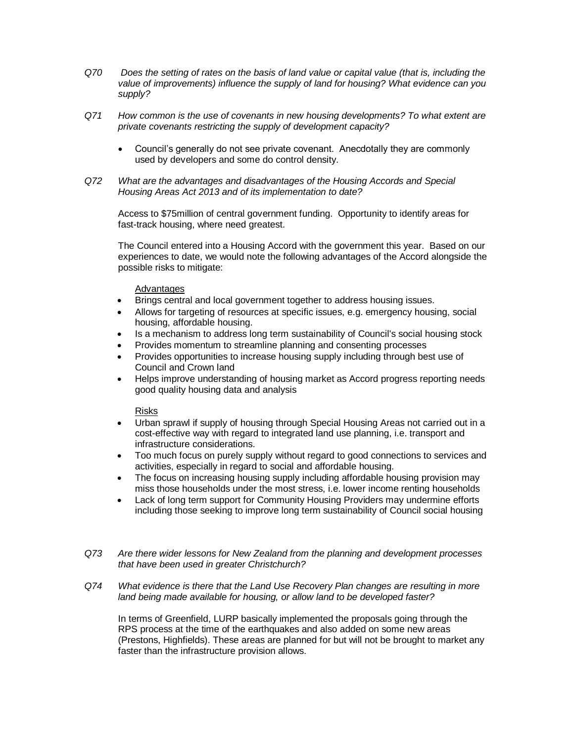- *Q70 Does the setting of rates on the basis of land value or capital value (that is, including the value of improvements) influence the supply of land for housing? What evidence can you supply?*
- *Q71 How common is the use of covenants in new housing developments? To what extent are private covenants restricting the supply of development capacity?*
	- Council's generally do not see private covenant. Anecdotally they are commonly used by developers and some do control density.
- *Q72 What are the advantages and disadvantages of the Housing Accords and Special Housing Areas Act 2013 and of its implementation to date?*

Access to \$75million of central government funding. Opportunity to identify areas for fast-track housing, where need greatest.

The Council entered into a Housing Accord with the government this year. Based on our experiences to date, we would note the following advantages of the Accord alongside the possible risks to mitigate:

### Advantages

- Brings central and local government together to address housing issues.
- Allows for targeting of resources at specific issues, e.g. emergency housing, social housing, affordable housing.
- Is a mechanism to address long term sustainability of Council's social housing stock
- Provides momentum to streamline planning and consenting processes
- Provides opportunities to increase housing supply including through best use of Council and Crown land
- Helps improve understanding of housing market as Accord progress reporting needs good quality housing data and analysis

# Risks

- Urban sprawl if supply of housing through Special Housing Areas not carried out in a cost-effective way with regard to integrated land use planning, i.e. transport and infrastructure considerations.
- Too much focus on purely supply without regard to good connections to services and activities, especially in regard to social and affordable housing.
- The focus on increasing housing supply including affordable housing provision may miss those households under the most stress, i.e. lower income renting households
- Lack of long term support for Community Housing Providers may undermine efforts including those seeking to improve long term sustainability of Council social housing
- *Q73 Are there wider lessons for New Zealand from the planning and development processes that have been used in greater Christchurch?*
- *Q74 What evidence is there that the Land Use Recovery Plan changes are resulting in more land being made available for housing, or allow land to be developed faster?*

In terms of Greenfield, LURP basically implemented the proposals going through the RPS process at the time of the earthquakes and also added on some new areas (Prestons, Highfields). These areas are planned for but will not be brought to market any faster than the infrastructure provision allows.